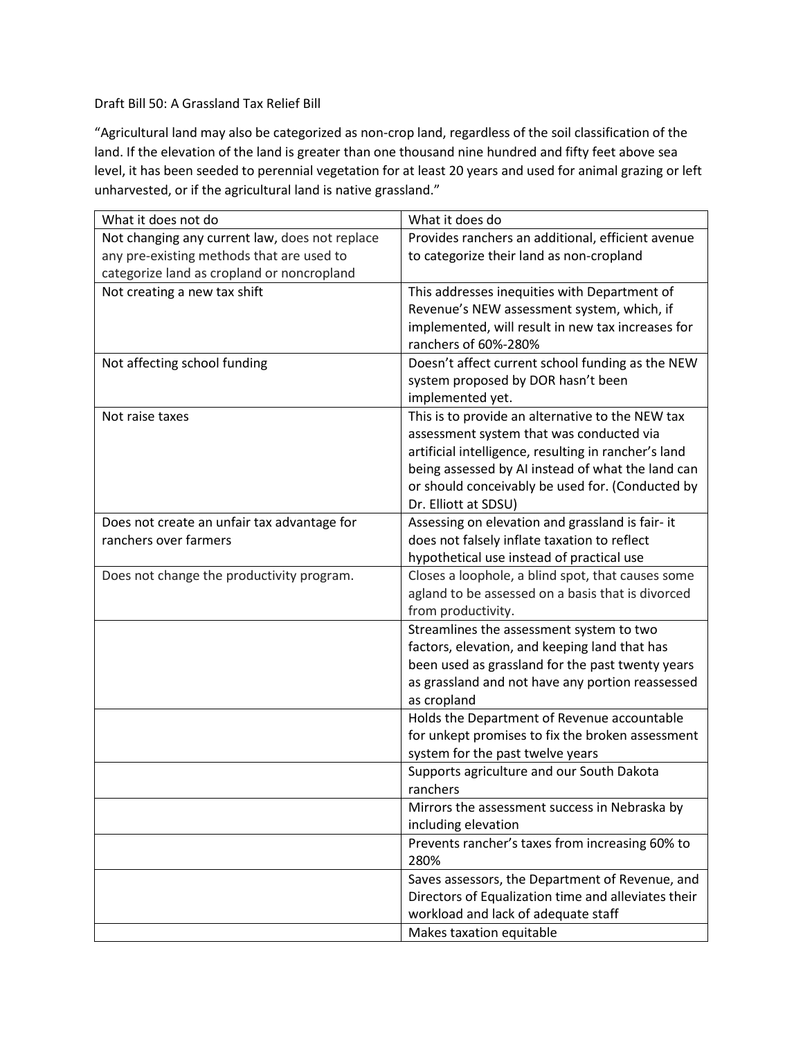## Draft Bill 50: A Grassland Tax Relief Bill

"Agricultural land may also be categorized as non-crop land, regardless of the soil classification of the land. If the elevation of the land is greater than one thousand nine hundred and fifty feet above sea level, it has been seeded to perennial vegetation for at least 20 years and used for animal grazing or left unharvested, or if the agricultural land is native grassland."

| What it does not do                            | What it does do                                                                           |
|------------------------------------------------|-------------------------------------------------------------------------------------------|
| Not changing any current law, does not replace | Provides ranchers an additional, efficient avenue                                         |
| any pre-existing methods that are used to      | to categorize their land as non-cropland                                                  |
| categorize land as cropland or noncropland     |                                                                                           |
| Not creating a new tax shift                   | This addresses inequities with Department of                                              |
|                                                | Revenue's NEW assessment system, which, if                                                |
|                                                | implemented, will result in new tax increases for                                         |
|                                                | ranchers of 60%-280%                                                                      |
| Not affecting school funding                   | Doesn't affect current school funding as the NEW                                          |
|                                                | system proposed by DOR hasn't been                                                        |
|                                                | implemented yet.                                                                          |
| Not raise taxes                                | This is to provide an alternative to the NEW tax                                          |
|                                                | assessment system that was conducted via                                                  |
|                                                | artificial intelligence, resulting in rancher's land                                      |
|                                                | being assessed by AI instead of what the land can                                         |
|                                                | or should conceivably be used for. (Conducted by                                          |
|                                                | Dr. Elliott at SDSU)                                                                      |
| Does not create an unfair tax advantage for    | Assessing on elevation and grassland is fair- it                                          |
| ranchers over farmers                          | does not falsely inflate taxation to reflect                                              |
|                                                | hypothetical use instead of practical use                                                 |
| Does not change the productivity program.      | Closes a loophole, a blind spot, that causes some                                         |
|                                                | agland to be assessed on a basis that is divorced                                         |
|                                                | from productivity.                                                                        |
|                                                | Streamlines the assessment system to two<br>factors, elevation, and keeping land that has |
|                                                | been used as grassland for the past twenty years                                          |
|                                                | as grassland and not have any portion reassessed                                          |
|                                                | as cropland                                                                               |
|                                                | Holds the Department of Revenue accountable                                               |
|                                                | for unkept promises to fix the broken assessment                                          |
|                                                | system for the past twelve years                                                          |
|                                                | Supports agriculture and our South Dakota                                                 |
|                                                | ranchers                                                                                  |
|                                                | Mirrors the assessment success in Nebraska by                                             |
|                                                | including elevation                                                                       |
|                                                | Prevents rancher's taxes from increasing 60% to                                           |
|                                                | 280%                                                                                      |
|                                                | Saves assessors, the Department of Revenue, and                                           |
|                                                | Directors of Equalization time and alleviates their                                       |
|                                                | workload and lack of adequate staff                                                       |
|                                                | Makes taxation equitable                                                                  |